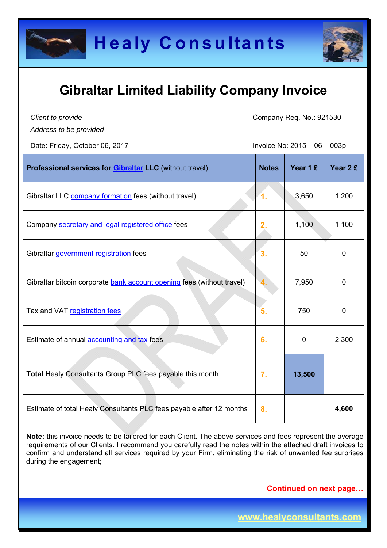



*Client to provide Address to be provided* Company Reg. No.: 921530

Date: Friday, October 06, 2017 **IDDE:** Invoice No: 2015 – 06 – 003p

| Professional services for <b>Gibraltar LLC</b> (without travel)        | <b>Notes</b> | Year 1 £ | Year 2 £    |
|------------------------------------------------------------------------|--------------|----------|-------------|
| Gibraltar LLC company formation fees (without travel)                  | 1.           | 3,650    | 1,200       |
| Company secretary and legal registered office fees                     | 2.           | 1,100    | 1,100       |
| Gibraltar government registration fees                                 | 3.           | 50       | 0           |
| Gibraltar bitcoin corporate bank account opening fees (without travel) |              | 7,950    | $\mathbf 0$ |
| Tax and VAT registration fees                                          | 5.           | 750      | 0           |
| Estimate of annual <b>accounting and tax</b> fees                      | 6.           | 0        | 2,300       |
| Total Healy Consultants Group PLC fees payable this month              | 7.           | 13,500   |             |
| Estimate of total Healy Consultants PLC fees payable after 12 months   | 8.           |          | 4,600       |

**Note:** this invoice needs to be tailored for each Client. The above services and fees represent the average requirements of our Clients. I recommend you carefully read the notes within the attached draft invoices to confirm and understand all services required by your Firm, eliminating the risk of unwanted fee surprises during the engagement;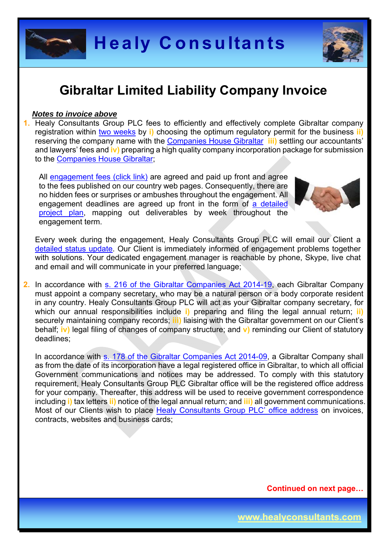



#### *Notes to invoice above*

**1.** Healy Consultants Group PLC fees to efficiently and effectively complete Gibraltar company registration within two weeks by **i)** choosing the optimum regulatory permit for the business **ii)** reserving the company name with the Companies House Gibraltar **iii)** settling our accountants' and lawyers' fees and **iv)** preparing a high quality company incorporation package for submission to the Companies House Gibraltar;

All engagement fees (click link) are agreed and paid up front and agree to the fees published on our country web pages. Consequently, there are no hidden fees or surprises or ambushes throughout the engagement. All engagement deadlines are agreed up front in the form of a detailed project plan, mapping out deliverables by week throughout the engagement term.



Every week during the engagement, Healy Consultants Group PLC will email our Client a detailed status update. Our Client is immediately informed of engagement problems together with solutions. Your dedicated engagement manager is reachable by phone, Skype, live chat and email and will communicate in your preferred language;

**2.** In accordance with s. 216 of the Gibraltar Companies Act 2014-19, each Gibraltar Company must appoint a company secretary, who may be a natural person or a body corporate resident in any country. Healy Consultants Group PLC will act as your Gibraltar company secretary, for which our annual responsibilities include **i)** preparing and filing the legal annual return; **ii)** securely maintaining company records; **iii)** liaising with the Gibraltar government on our Client's behalf; **iv)** legal filing of changes of company structure; and **v)** reminding our Client of statutory deadlines;

In accordance with s. 178 of the Gibraltar Companies Act 2014-09, a Gibraltar Company shall as from the date of its incorporation have a legal registered office in Gibraltar, to which all official Government communications and notices may be addressed. To comply with this statutory requirement, Healy Consultants Group PLC Gibraltar office will be the registered office address for your company. Thereafter, this address will be used to receive government correspondence including **i)** tax letters **ii)** notice of the legal annual return; and **iii)** all government communications. Most of our Clients wish to place Healy Consultants Group PLC' office address on invoices, contracts, websites and business cards;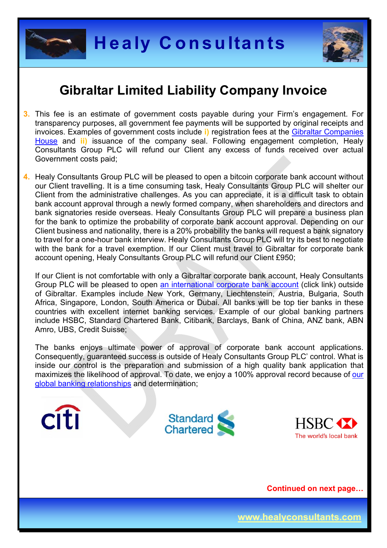

**Citi** 



#### **Gibraltar Limited Liability Company Invoice**

- **3.** This fee is an estimate of government costs payable during your Firm's engagement. For transparency purposes, all government fee payments will be supported by original receipts and invoices. Examples of government costs include **i)** registration fees at the Gibraltar Companies House and **ii)** issuance of the company seal. Following engagement completion, Healy Consultants Group PLC will refund our Client any excess of funds received over actual Government costs paid;
- **4.** Healy Consultants Group PLC will be pleased to open a bitcoin corporate bank account without our Client travelling. It is a time consuming task, Healy Consultants Group PLC will shelter our Client from the administrative challenges. As you can appreciate, it is a difficult task to obtain bank account approval through a newly formed company, when shareholders and directors and bank signatories reside overseas. Healy Consultants Group PLC will prepare a business plan for the bank to optimize the probability of corporate bank account approval. Depending on our Client business and nationality, there is a 20% probability the banks will request a bank signatory to travel for a one-hour bank interview. Healy Consultants Group PLC will try its best to negotiate with the bank for a travel exemption. If our Client must travel to Gibraltar for corporate bank account opening, Healy Consultants Group PLC will refund our Client £950;

If our Client is not comfortable with only a Gibraltar corporate bank account, Healy Consultants Group PLC will be pleased to open an international corporate bank account (click link) outside of Gibraltar. Examples include New York, Germany, Liechtenstein, Austria, Bulgaria, South Africa, Singapore, London, South America or Dubai. All banks will be top tier banks in these countries with excellent internet banking services. Example of our global banking partners include HSBC, Standard Chartered Bank, Citibank, Barclays, Bank of China, ANZ bank, ABN Amro, UBS, Credit Suisse;

The banks enjoys ultimate power of approval of corporate bank account applications. Consequently, guaranteed success is outside of Healy Consultants Group PLC' control. What is inside our control is the preparation and submission of a high quality bank application that maximizes the likelihood of approval. To date, we enjoy a 100% approval record because of our global banking relationships and determination;



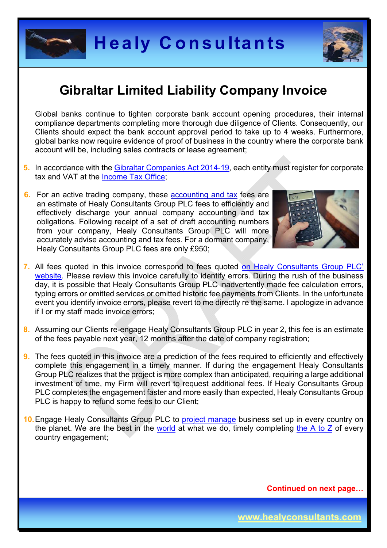



Global banks continue to tighten corporate bank account opening procedures, their internal compliance departments completing more thorough due diligence of Clients. Consequently, our Clients should expect the bank account approval period to take up to 4 weeks. Furthermore, global banks now require evidence of proof of business in the country where the corporate bank account will be, including sales contracts or lease agreement;

- **5.** In accordance with the Gibraltar Companies Act 2014-19, each entity must register for corporate tax and VAT at the Income Tax Office;
- **6.** For an active trading company, these accounting and tax fees are an estimate of Healy Consultants Group PLC fees to efficiently and effectively discharge your annual company accounting and tax obligations. Following receipt of a set of draft accounting numbers from your company, Healy Consultants Group PLC will more accurately advise accounting and tax fees. For a dormant company, Healy Consultants Group PLC fees are only £950;



- **7.** All fees quoted in this invoice correspond to fees quoted on Healy Consultants Group PLC' website. Please review this invoice carefully to identify errors. During the rush of the business day, it is possible that Healy Consultants Group PLC inadvertently made fee calculation errors, typing errors or omitted services or omitted historic fee payments from Clients. In the unfortunate event you identify invoice errors, please revert to me directly re the same. I apologize in advance if I or my staff made invoice errors;
- **8.** Assuming our Clients re-engage Healy Consultants Group PLC in year 2, this fee is an estimate of the fees payable next year, 12 months after the date of company registration;
- **9.** The fees quoted in this invoice are a prediction of the fees required to efficiently and effectively complete this engagement in a timely manner. If during the engagement Healy Consultants Group PLC realizes that the project is more complex than anticipated, requiring a large additional investment of time, my Firm will revert to request additional fees. If Healy Consultants Group PLC completes the engagement faster and more easily than expected, Healy Consultants Group PLC is happy to refund some fees to our Client;
- **10.** Engage Healy Consultants Group PLC to project manage business set up in every country on the planet. We are the best in the world at what we do, timely completing the  $A$  to  $Z$  of every country engagement;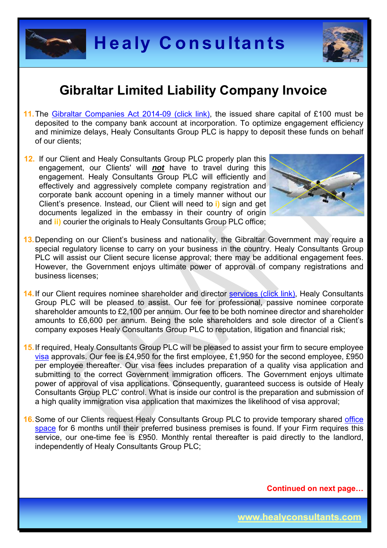



- 11. The Gibraltar Companies Act 2014-09 (click link), the issued share capital of £100 must be deposited to the company bank account at incorporation. To optimize engagement efficiency and minimize delays, Healy Consultants Group PLC is happy to deposit these funds on behalf of our clients;
- **12.** If our Client and Healy Consultants Group PLC properly plan this engagement, our Clients' will *not* have to travel during this engagement. Healy Consultants Group PLC will efficiently and effectively and aggressively complete company registration and corporate bank account opening in a timely manner without our Client's presence. Instead, our Client will need to **i)** sign and get documents legalized in the embassy in their country of origin and **ii)** courier the originals to Healy Consultants Group PLC office;



- **13.** Depending on our Client's business and nationality, the Gibraltar Government may require a special regulatory license to carry on your business in the country. Healy Consultants Group PLC will assist our Client secure license approval; there may be additional engagement fees. However, the Government enjoys ultimate power of approval of company registrations and business licenses;
- **14.** If our Client requires nominee shareholder and director services (click link), Healy Consultants Group PLC will be pleased to assist. Our fee for professional, passive nominee corporate shareholder amounts to £2,100 per annum. Our fee to be both nominee director and shareholder amounts to £6,600 per annum. Being the sole shareholders and sole director of a Client's company exposes Healy Consultants Group PLC to reputation, litigation and financial risk;
- **15.** If required, Healy Consultants Group PLC will be pleased to assist your firm to secure employee visa approvals. Our fee is £4,950 for the first employee, £1,950 for the second employee, £950 per employee thereafter. Our visa fees includes preparation of a quality visa application and submitting to the correct Government immigration officers. The Government enjoys ultimate power of approval of visa applications. Consequently, guaranteed success is outside of Healy Consultants Group PLC' control. What is inside our control is the preparation and submission of a high quality immigration visa application that maximizes the likelihood of visa approval;
- **16.** Some of our Clients request Healy Consultants Group PLC to provide temporary shared office space for 6 months until their preferred business premises is found. If your Firm requires this service, our one-time fee is £950. Monthly rental thereafter is paid directly to the landlord, independently of Healy Consultants Group PLC;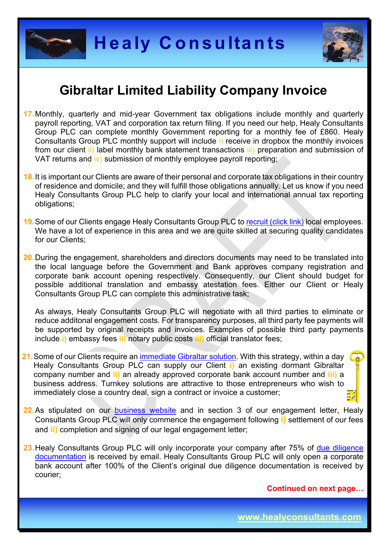



- **17.** Monthly, quarterly and mid-year Government tax obligations include monthly and quarterly payroll reporting, VAT and corporation tax return filing. If you need our help, Healy Consultants Group PLC can complete monthly Government reporting for a monthly fee of £860. Healy Consultants Group PLC monthly support will include i) receive in dropbox the monthly invoices from our client ii) label monthly bank statement transactions iii) preparation and submission of VAT returns and iv) submission of monthly employee payroll reporting;
- **18.** It is important our Clients are aware of their personal and corporate tax obligations in their country of residence and domicile; and they will fulfill those obligations annually. Let us know if you need Healy Consultants Group PLC help to clarify your local and international annual tax reporting obligations;
- **19.** Some of our Clients engage Healy Consultants Group PLC to recruit (click link) local employees. We have a lot of experience in this area and we are quite skilled at securing quality candidates for our Clients:
- **20.** During the engagement, shareholders and directors documents may need to be translated into the local language before the Government and Bank approves company registration and corporate bank account opening respectively. Consequently, our Client should budget for possible additional translation and embassy atestation fees. Either our Client or Healy Consultants Group PLC can complete this administrative task;

As always, Healy Consultants Group PLC will negotiate with all third parties to eliminate or reduce additonal engagement costs. For transparency purposes, all third party fee payments will be supported by original receipts and invoices. Examples of possible third party payments include **i)** embassy fees **ii)** notary public costs **iii)** official translator fees;

- **21.** Some of our Clients require an immediate Gibraltar solution. With this strategy, within a day Healy Consultants Group PLC can supply our Client **i)** an existing dormant Gibraltar company number and **ii)** an already approved corporate bank account number and **iii)** a business address. Turnkey solutions are attractive to those entrepreneurs who wish to immediately close a country deal, sign a contract or invoice a customer;
- 22. As stipulated on our business website and in section 3 of our engagement letter, Healy Consultants Group PLC will only commence the engagement following **i)** settlement of our fees and **ii)** completion and signing of our legal engagement letter;
- 23. Healy Consultants Group PLC will only incorporate your company after 75% of due diligence documentation is received by email. Healy Consultants Group PLC will only open a corporate bank account after 100% of the Client's original due diligence documentation is received by courier;

 **Continued on next page…** 

**www.healyconsultants.com**